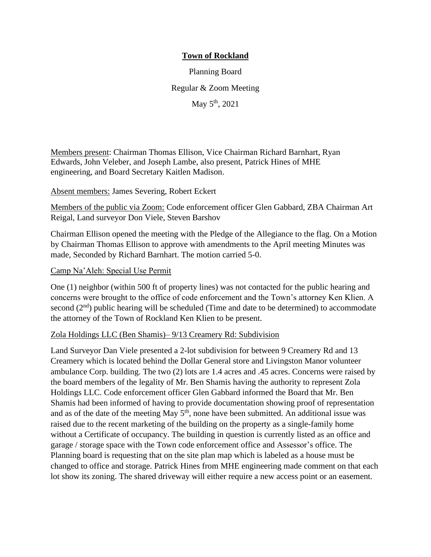# **Town of Rockland**

Planning Board Regular & Zoom Meeting May 5<sup>th</sup>, 2021

Members present: Chairman Thomas Ellison, Vice Chairman Richard Barnhart, Ryan Edwards, John Veleber, and Joseph Lambe, also present, Patrick Hines of MHE engineering, and Board Secretary Kaitlen Madison.

### Absent members: James Severing, Robert Eckert

Members of the public via Zoom: Code enforcement officer Glen Gabbard, ZBA Chairman Art Reigal, Land surveyor Don Viele, Steven Barshov

Chairman Ellison opened the meeting with the Pledge of the Allegiance to the flag. On a Motion by Chairman Thomas Ellison to approve with amendments to the April meeting Minutes was made, Seconded by Richard Barnhart. The motion carried 5-0.

### Camp Na'Aleh: Special Use Permit

One (1) neighbor (within 500 ft of property lines) was not contacted for the public hearing and concerns were brought to the office of code enforcement and the Town's attorney Ken Klien. A second  $(2<sup>nd</sup>)$  public hearing will be scheduled (Time and date to be determined) to accommodate the attorney of the Town of Rockland Ken Klien to be present.

### Zola Holdings LLC (Ben Shamis)– 9/13 Creamery Rd: Subdivision

Land Surveyor Dan Viele presented a 2-lot subdivision for between 9 Creamery Rd and 13 Creamery which is located behind the Dollar General store and Livingston Manor volunteer ambulance Corp. building. The two (2) lots are 1.4 acres and .45 acres. Concerns were raised by the board members of the legality of Mr. Ben Shamis having the authority to represent Zola Holdings LLC. Code enforcement officer Glen Gabbard informed the Board that Mr. Ben Shamis had been informed of having to provide documentation showing proof of representation and as of the date of the meeting May  $5<sup>th</sup>$ , none have been submitted. An additional issue was raised due to the recent marketing of the building on the property as a single-family home without a Certificate of occupancy. The building in question is currently listed as an office and garage / storage space with the Town code enforcement office and Assessor's office. The Planning board is requesting that on the site plan map which is labeled as a house must be changed to office and storage. Patrick Hines from MHE engineering made comment on that each lot show its zoning. The shared driveway will either require a new access point or an easement.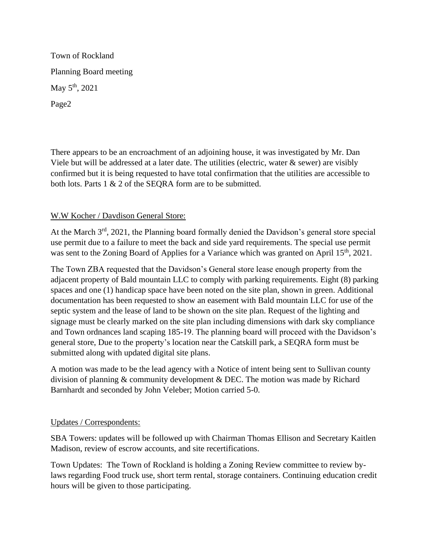Town of Rockland Planning Board meeting May 5<sup>th</sup>, 2021 Page2

There appears to be an encroachment of an adjoining house, it was investigated by Mr. Dan Viele but will be addressed at a later date. The utilities (electric, water  $\&$  sewer) are visibly confirmed but it is being requested to have total confirmation that the utilities are accessible to both lots. Parts 1 & 2 of the SEQRA form are to be submitted.

## W.W Kocher / Davdison General Store:

At the March 3<sup>rd</sup>, 2021, the Planning board formally denied the Davidson's general store special use permit due to a failure to meet the back and side yard requirements. The special use permit was sent to the Zoning Board of Applies for a Variance which was granted on April 15<sup>th</sup>, 2021.

The Town ZBA requested that the Davidson's General store lease enough property from the adjacent property of Bald mountain LLC to comply with parking requirements. Eight (8) parking spaces and one (1) handicap space have been noted on the site plan, shown in green. Additional documentation has been requested to show an easement with Bald mountain LLC for use of the septic system and the lease of land to be shown on the site plan. Request of the lighting and signage must be clearly marked on the site plan including dimensions with dark sky compliance and Town ordnances land scaping 185-19. The planning board will proceed with the Davidson's general store, Due to the property's location near the Catskill park, a SEQRA form must be submitted along with updated digital site plans.

A motion was made to be the lead agency with a Notice of intent being sent to Sullivan county division of planning & community development & DEC. The motion was made by Richard Barnhardt and seconded by John Veleber; Motion carried 5-0.

## Updates / Correspondents:

SBA Towers: updates will be followed up with Chairman Thomas Ellison and Secretary Kaitlen Madison, review of escrow accounts, and site recertifications.

Town Updates: The Town of Rockland is holding a Zoning Review committee to review bylaws regarding Food truck use, short term rental, storage containers. Continuing education credit hours will be given to those participating.